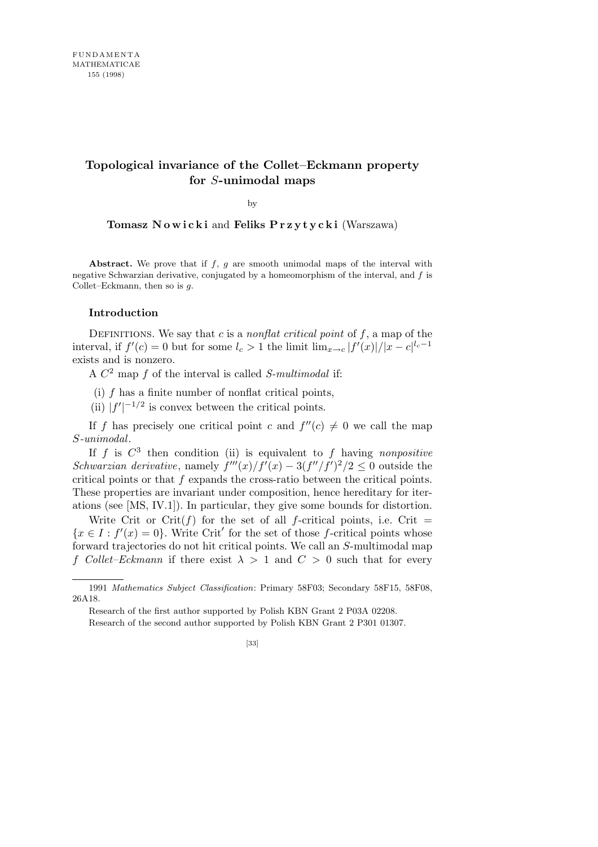## **Topological invariance of the Collet–Eckmann property for** *S***-unimodal maps**

by

**Tomasz N o w i c k i** and **Feliks P r z y t y c k i** (Warszawa)

**Abstract.** We prove that if *f*, *g* are smooth unimodal maps of the interval with negative Schwarzian derivative, conjugated by a homeomorphism of the interval, and *f* is Collet–Eckmann, then so is *g*.

## **Introduction**

DEFINITIONS. We say that  $c$  is a *nonflat critical point* of  $f$ , a map of the interval, if  $f'(c) = 0$  but for some  $l_c > 1$  the limit  $\lim_{x \to c} |f'(x)|/|x - c|^{l_c - 1}$ exists and is nonzero.

A *C* <sup>2</sup> map *f* of the interval is called *S-multimodal* if:

(i) *f* has a finite number of nonflat critical points,

(ii)  $|f'|^{-1/2}$  is convex between the critical points.

If *f* has precisely one critical point *c* and  $f''(c) \neq 0$  we call the map *S-unimodal*.

If  $f$  is  $C^3$  then condition (ii) is equivalent to  $f$  having *nonpositive Schwarzian derivative*, namely  $f'''(x)/f'(x) - 3(f''/f')^2/2 \leq 0$  outside the critical points or that *f* expands the cross-ratio between the critical points. These properties are invariant under composition, hence hereditary for iterations (see [MS, IV.1]). In particular, they give some bounds for distortion.

Write Crit or Crit( $f$ ) for the set of all  $f$ -critical points, i.e. Crit =  ${x \in I : f'(x) = 0}$ . Write Crit<sup>'</sup> for the set of those *f*-critical points whose forward trajectories do not hit critical points. We call an *S*-multimodal map *f Collet–Eckmann* if there exist  $\lambda > 1$  and  $C > 0$  such that for every

Research of the first author supported by Polish KBN Grant 2 P03A 02208.

Research of the second author supported by Polish KBN Grant 2 P301 01307.

<sup>1991</sup> *Mathematics Subject Classification*: Primary 58F03; Secondary 58F15, 58F08, 26A18.

<sup>[33]</sup>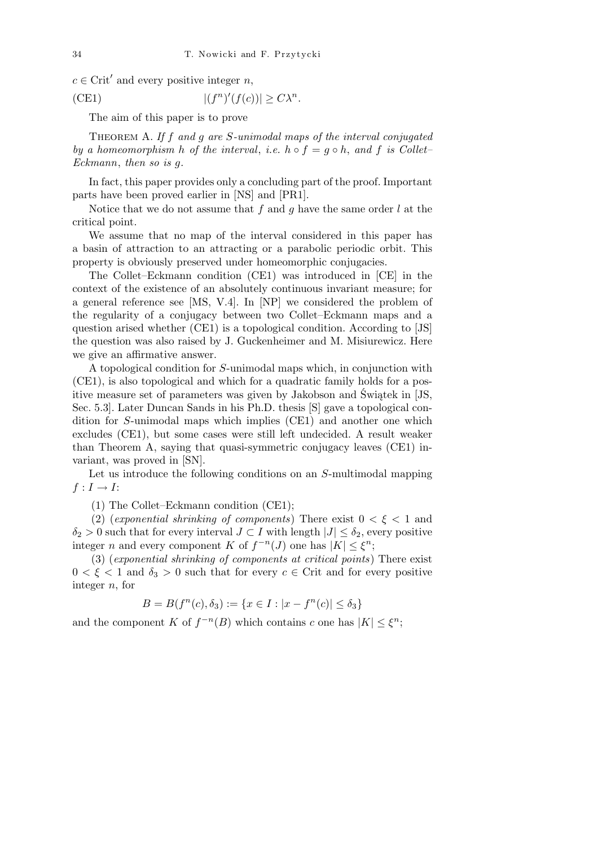$c \in \text{Crit}'$  and every positive integer *n*,

(CE1) 
$$
|(f^n)'(f(c))| \ge C\lambda^n.
$$

The aim of this paper is to prove

Theorem A. *If f and g are S-unimodal maps of the interval conjugated by a homeomorphism h of the interval, i.e.*  $h \circ f = g \circ h$ , and *f is Collet– Eckmann*, *then so is g.*

In fact, this paper provides only a concluding part of the proof. Important parts have been proved earlier in [NS] and [PR1].

Notice that we do not assume that *f* and *g* have the same order *l* at the critical point.

We assume that no map of the interval considered in this paper has a basin of attraction to an attracting or a parabolic periodic orbit. This property is obviously preserved under homeomorphic conjugacies.

The Collet–Eckmann condition (CE1) was introduced in [CE] in the context of the existence of an absolutely continuous invariant measure; for a general reference see [MS, V.4]. In [NP] we considered the problem of the regularity of a conjugacy between two Collet–Eckmann maps and a question arised whether (CE1) is a topological condition. According to [JS] the question was also raised by J. Guckenheimer and M. Misiurewicz. Here we give an affirmative answer.

A topological condition for *S*-unimodal maps which, in conjunction with (CE1), is also topological and which for a quadratic family holds for a positive measure set of parameters was given by Jakobson and Świątek in [JS, Sec. 5.3]. Later Duncan Sands in his Ph.D. thesis [S] gave a topological condition for *S*-unimodal maps which implies (CE1) and another one which excludes (CE1), but some cases were still left undecided. A result weaker than Theorem A, saying that quasi-symmetric conjugacy leaves (CE1) invariant, was proved in [SN].

Let us introduce the following conditions on an *S*-multimodal mapping  $f: I \rightarrow I$ :

(1) The Collet–Eckmann condition (CE1);

(2) (*exponential shrinking of components*) There exist 0 *< ξ <* 1 and  $\delta_2 > 0$  such that for every interval  $J \subset I$  with length  $|J| \leq \delta_2$ , every positive integer *n* and every component *K* of  $f^{-n}(J)$  one has  $|K| \leq \xi^n$ ;

(3) (*exponential shrinking of components at critical points*) There exist  $0 < \xi < 1$  and  $\delta_3 > 0$  such that for every  $c \in \text{Crit}$  and for every positive integer *n*, for

$$
B = B(f^n(c), \delta_3) := \{ x \in I : |x - f^n(c)| \le \delta_3 \}
$$

and the component *K* of  $f^{-n}(B)$  which contains *c* one has  $|K| \leq \xi^n$ ;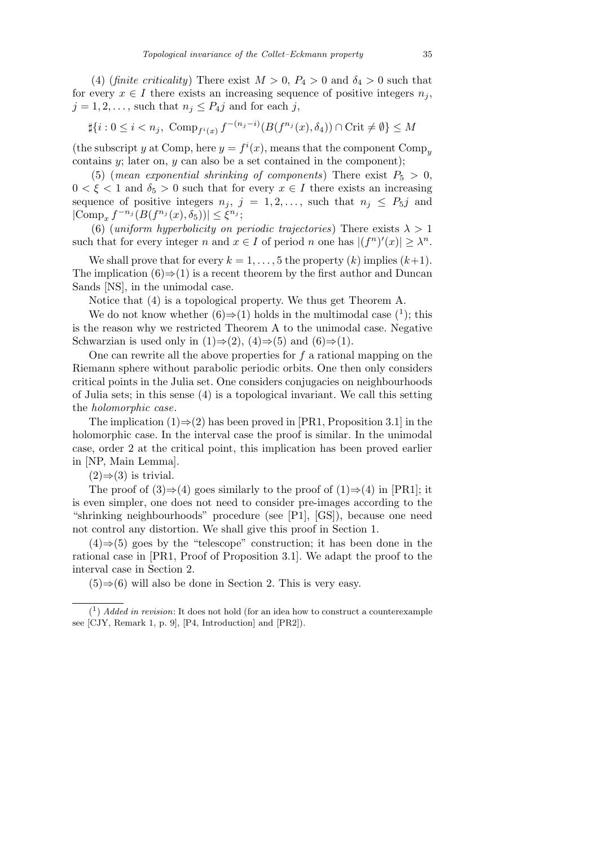(4) (*finite criticality*) There exist  $M > 0$ ,  $P_4 > 0$  and  $\delta_4 > 0$  such that for every  $x \in I$  there exists an increasing sequence of positive integers  $n_j$ ,  $j = 1, 2, \ldots$ , such that  $n_j \leq P_{4}j$  and for each *j*,

$$
\sharp\{i:0\leq i
$$

(the subscript *y* at Comp, here  $y = f^{i}(x)$ , means that the component Comp<sub>*y*</sub> contains *y*; later on, *y* can also be a set contained in the component);

(5) (*mean exponential shrinking of components*) There exist  $P_5 > 0$ ,  $0 < \xi < 1$  and  $\delta_5 > 0$  such that for every  $x \in I$  there exists an increasing sequence of positive integers  $n_j$ ,  $j = 1, 2, \ldots$ , such that  $n_j \leq P_5j$  and  $|\text{Comp}_x f^{-n_j}(B(f^{n_j}(x), \delta_5))| \leq \xi^{n_j};$ 

(6) (*uniform hyperbolicity on periodic trajectories*) There exists  $\lambda > 1$ such that for every integer *n* and  $x \in I$  of period *n* one has  $|(f^n)'(x)| \geq \lambda^n$ .

We shall prove that for every  $k = 1, \ldots, 5$  the property  $(k)$  implies  $(k+1)$ . The implication  $(6) \Rightarrow (1)$  is a recent theorem by the first author and Duncan Sands [NS], in the unimodal case.

Notice that (4) is a topological property. We thus get Theorem A.

We do not know whether  $(6) \Rightarrow (1)$  holds in the multimodal case  $(1)$ ; this is the reason why we restricted Theorem A to the unimodal case. Negative Schwarzian is used only in  $(1) \Rightarrow (2)$ ,  $(4) \Rightarrow (5)$  and  $(6) \Rightarrow (1)$ .

One can rewrite all the above properties for *f* a rational mapping on the Riemann sphere without parabolic periodic orbits. One then only considers critical points in the Julia set. One considers conjugacies on neighbourhoods of Julia sets; in this sense (4) is a topological invariant. We call this setting the *holomorphic case*.

The implication (1)*⇒*(2) has been proved in [PR1, Proposition 3.1] in the holomorphic case. In the interval case the proof is similar. In the unimodal case, order 2 at the critical point, this implication has been proved earlier in [NP, Main Lemma].

 $(2) \Rightarrow (3)$  is trivial.

The proof of  $(3) \Rightarrow (4)$  goes similarly to the proof of  $(1) \Rightarrow (4)$  in [PR1]; it is even simpler, one does not need to consider pre-images according to the "shrinking neighbourhoods" procedure (see [P1], [GS]), because one need not control any distortion. We shall give this proof in Section 1.

(4)*⇒*(5) goes by the "telescope" construction; it has been done in the rational case in [PR1, Proof of Proposition 3.1]. We adapt the proof to the interval case in Section 2.

(5)*⇒*(6) will also be done in Section 2. This is very easy.

 $(1)$  *Added in revision*: It does not hold (for an idea how to construct a counterexample see [CJY, Remark 1, p. 9], [P4, Introduction] and [PR2]).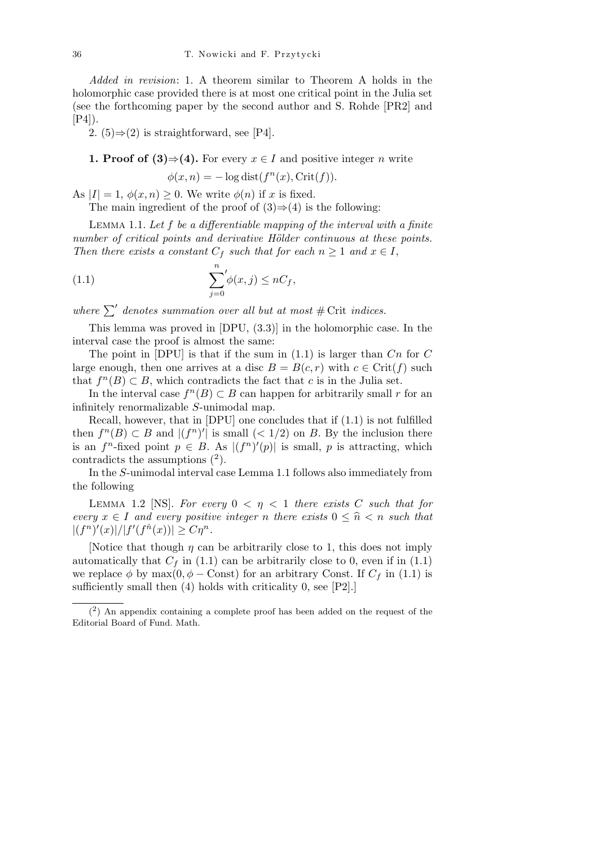*Added in revision*: 1. A theorem similar to Theorem A holds in the holomorphic case provided there is at most one critical point in the Julia set (see the forthcoming paper by the second author and S. Rohde [PR2] and  $[P4]$ ).

2.  $(5) \Rightarrow (2)$  is straightforward, see [P4].

**1. Proof of (3)** 
$$
\Rightarrow
$$
 (4). For every  $x \in I$  and positive integer *n* write  $\phi(x, n) = -\log \text{dist}(f^n(x), \text{Crit}(f)).$ 

As  $|I| = 1$ ,  $\phi(x, n) \geq 0$ . We write  $\phi(n)$  if x is fixed.

The main ingredient of the proof of  $(3) \Rightarrow (4)$  is the following:

Lemma 1.1. *Let f be a differentiable mapping of the interval with a finite number of critical points and derivative Hölder continuous at these points. Then there exists a constant*  $C_f$  *such that for each*  $n \geq 1$  *and*  $x \in I$ ,

(1.1) 
$$
\sum_{j=0}^{n} \phi(x,j) \leq nC_f,
$$

where  $\sum'$  denotes summation over all but at most  $\#$  Crit *indices*.

This lemma was proved in [DPU, (3.3)] in the holomorphic case. In the interval case the proof is almost the same:

The point in [DPU] is that if the sum in (1.1) is larger than *Cn* for *C* large enough, then one arrives at a disc  $B = B(c, r)$  with  $c \in \text{Crit}(f)$  such that  $f^{n}(B) \subset B$ , which contradicts the fact that *c* is in the Julia set.

In the interval case  $f^{n}(B) \subset B$  can happen for arbitrarily small *r* for an infinitely renormalizable *S*-unimodal map.

Recall, however, that in [DPU] one concludes that if (1.1) is not fulfilled then  $f^{n}(B) \subset B$  and  $|(f^{n})'|$  is small  $(< 1/2)$  on *B*. By the inclusion there is an  $f^n$ -fixed point  $p \in B$ . As  $|(f^n)'(p)|$  is small, p is attracting, which contradicts the assumptions  $(2)$ .

In the *S*-unimodal interval case Lemma 1.1 follows also immediately from the following

LEMMA 1.2 [NS]. For every  $0 \leq \eta \leq 1$  there exists C such that for *every*  $x \in I$  *and every positive integer n there exists*  $0 \leq \hat{n} < n$  *such that*  $|(f^n)'(x)|/|f'(f^{\hat{n}}(x))| \geq C\eta^n$ .

[Notice that though  $\eta$  can be arbitrarily close to 1, this does not imply automatically that  $C_f$  in (1.1) can be arbitrarily close to 0, even if in (1.1) we replace  $\phi$  by max $(0, \phi - \text{Const})$  for an arbitrary Const. If  $C_f$  in (1.1) is sufficiently small then (4) holds with criticality 0, see [P2].]

 $(2)$  An appendix containing a complete proof has been added on the request of the Editorial Board of Fund. Math.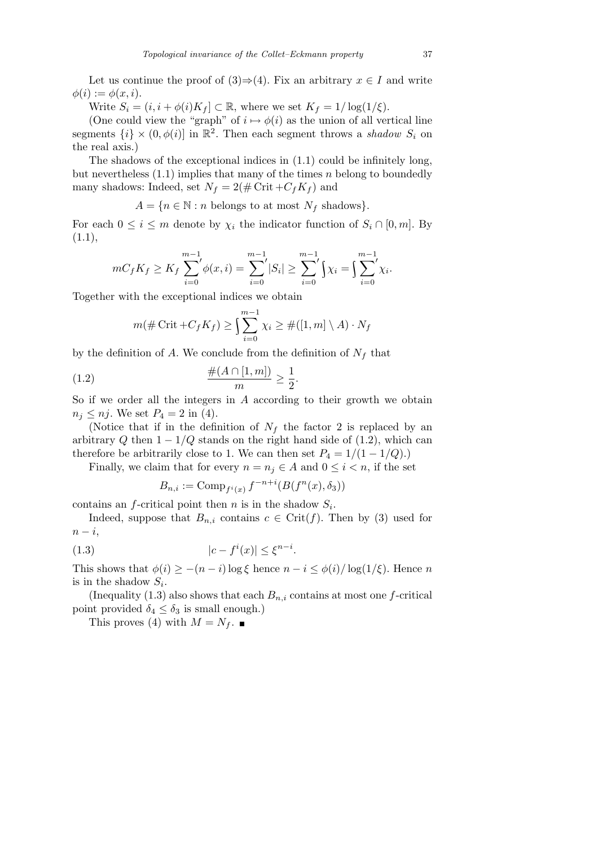Let us continue the proof of  $(3) \Rightarrow (4)$ . Fix an arbitrary  $x \in I$  and write  $\phi(i) := \phi(x, i).$ 

Write  $S_i = (i, i + \phi(i)K_f] \subset \mathbb{R}$ , where we set  $K_f = 1/\log(1/\xi)$ .

(One could view the "graph" of  $i \mapsto \phi(i)$  as the union of all vertical line segments  $\{i\} \times (0, \phi(i))$  in  $\mathbb{R}^2$ . Then each segment throws a *shadow*  $S_i$  on the real axis.)

The shadows of the exceptional indices in (1.1) could be infinitely long, but nevertheless (1.1) implies that many of the times *n* belong to boundedly many shadows: Indeed, set  $N_f = 2(\text{\# Crit} + C_f K_f)$  and

 $A = \{n \in \mathbb{N} : n \text{ belongs to at most } N_f \text{ shadows}\}.$ 

For each  $0 \leq i \leq m$  denote by  $\chi_i$  the indicator function of  $S_i \cap [0, m]$ . By  $(1.1),$ 

$$
mC_fK_f \geq K_f\sum_{i=0}^{m-1} \phi(x,i) = \sum_{i=0}^{m-1} |S_i| \geq \sum_{i=0}^{m-1} \left(\chi_i\right) = \int_{i=0}^{m-1} \chi_i.
$$

Together with the exceptional indices we obtain

$$
m(\#\operatorname{Crit}+C_fK_f)\geq \int_{i=0}^{m-1}\chi_i\geq \#([1,m]\setminus A)\cdot N_f
$$

by the definition of *A*. We conclude from the definition of  $N_f$  that

(1.2) 
$$
\frac{\#(A \cap [1,m])}{m} \ge \frac{1}{2}.
$$

So if we order all the integers in *A* according to their growth we obtain  $n_j \leq n_j$ . We set  $P_4 = 2$  in (4).

(Notice that if in the definition of  $N_f$  the factor 2 is replaced by an arbitrary *Q* then  $1 - 1/Q$  stands on the right hand side of (1.2), which can therefore be arbitrarily close to 1. We can then set  $P_4 = 1/(1 - 1/Q)$ .)

Finally, we claim that for every  $n = n_j \in A$  and  $0 \leq i \leq n$ , if the set

$$
B_{n,i} := \mathrm{Comp}_{f^i(x)} f^{-n+i}(B(f^n(x), \delta_3))
$$

contains an *f*-critical point then *n* is in the shadow  $S_i$ .

Indeed, suppose that  $B_{n,i}$  contains  $c \in \text{Crit}(f)$ . Then by (3) used for *n − i*,

$$
(1.3) \t\t\t |c - fi(x)| \le \xi^{n-i}.
$$

This shows that  $\phi(i) \geq -(n-i)\log \xi$  hence  $n-i \leq \phi(i)/\log(1/\xi)$ . Hence *n* is in the shadow  $S_i$ .

(Inequality  $(1.3)$  also shows that each  $B_{n,i}$  contains at most one *f*-critical point provided  $\delta_4 \leq \delta_3$  is small enough.)

This proves (4) with  $M = N_f$ .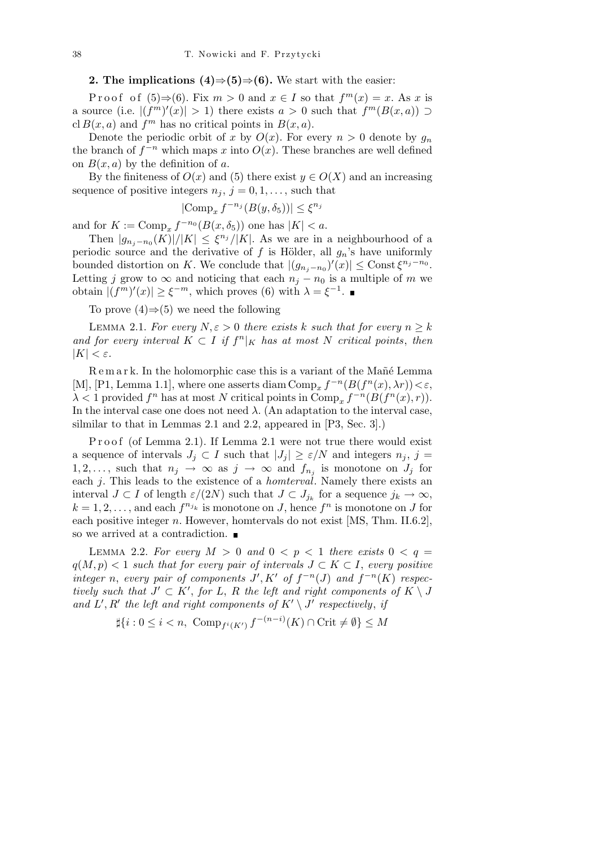**2.** The implications  $(4)$  ⇒ $(5)$  ⇒ $(6)$ . We start with the easier:

Proof of  $(5) \Rightarrow (6)$ . Fix  $m > 0$  and  $x \in I$  so that  $f^m(x) = x$ . As *x* is a source (i.e.  $|(f^m)'(x)| > 1$ ) there exists  $a > 0$  such that  $f^m(B(x, a)) \supset$  $cl B(x, a)$  and  $f<sup>m</sup>$  has no critical points in  $B(x, a)$ .

Denote the periodic orbit of *x* by  $O(x)$ . For every  $n > 0$  denote by  $q_n$ the branch of  $f^{-n}$  which maps *x* into  $O(x)$ . These branches are well defined on  $B(x, a)$  by the definition of *a*.

By the finiteness of  $O(x)$  and (5) there exist  $y \in O(X)$  and an increasing sequence of positive integers  $n_j$ ,  $j = 0, 1, \ldots$ , such that

$$
|\text{Comp}_x f^{-n_j}(B(y, \delta_5))| \le \xi^{n_j}
$$

and for  $K := \text{Comp}_x f^{-n_0}(B(x, \delta_5))$  one has  $|K| < a$ .

Then  $|g_{n_j-n_0}(K)|/|K| \leq \xi^{n_j}/|K|$ . As we are in a neighbourhood of a periodic source and the derivative of  $f$  is Hölder, all  $g_n$ 's have uniformly bounded distortion on *K*. We conclude that  $|(g_{n_j-n_0})'(x)| \leq \text{Const } \xi^{n_j-n_0}$ . Letting *j* grow to  $\infty$  and noticing that each  $n_j - n_0$  is a multiple of *m* we obtain  $|(f^m)'(x)| \geq \xi^{-m}$ , which proves (6) with  $\lambda = \xi^{-1}$ .

To prove (4)*⇒*(5) we need the following

LEMMA 2.1. *For every*  $N, \varepsilon > 0$  *there exists*  $k$  *such that for every*  $n \geq k$ *and for every interval*  $K \subset I$  *if*  $f^n|_K$  *has at most*  $N$  *critical points, then |K|*  $<$  ε*.* 

R e m a r k. In the holomorphic case this is a variant of the Mañé Lemma [M], [P1, Lemma 1.1], where one asserts diam  $\text{Comp}_x f^{-n}(B(f^n(x), \lambda r)) < \varepsilon$ ,  $\lambda < 1$  provided  $f^n$  has at most  $N$  critical points in  $\text{Comp}_x f^{-n}(B(f^n(x), r)).$ In the interval case one does not need  $\lambda$ . (An adaptation to the interval case, silmilar to that in Lemmas 2.1 and 2.2, appeared in [P3, Sec. 3].)

Proof (of Lemma 2.1). If Lemma 2.1 were not true there would exist a sequence of intervals  $J_j \subset I$  such that  $|J_j| \geq \varepsilon/N$  and integers  $n_j$ ,  $j =$ 1, 2, ..., such that  $n_j \to \infty$  as  $j \to \infty$  and  $f_{n_j}$  is monotone on  $J_j$  for each *j*. This leads to the existence of a *homterval*. Namely there exists an interval  $J \subset I$  of length  $\varepsilon/(2N)$  such that  $J \subset J_{j_k}$  for a sequence  $j_k \to \infty$ ,  $k = 1, 2, \ldots$ , and each  $f^{n_{j_k}}$  is monotone on *J*, hence  $f^n$  is monotone on *J* for each positive integer *n*. However, homtervals do not exist [MS, Thm. II.6.2], so we arrived at a contradiction.  $\blacksquare$ 

LEMMA 2.2. For every  $M > 0$  and  $0 < p < 1$  there exists  $0 < q =$ *q*(*M*, *p*) < 1 *such that for every pair of intervals*  $J ⊂ K ⊂ I$ , *every positive integer n*, *every* pair of components  $J', K'$  of  $f^{-n}(J)$  and  $f^{-n}(K)$  respec*tively such that*  $J' \subset K'$ , for *L*, *R the left and right components of*  $K \setminus J$ and  $L'$ ,  $R'$  the left and right components of  $K' \setminus J'$  respectively, if

$$
\sharp\{i:0\leq i
$$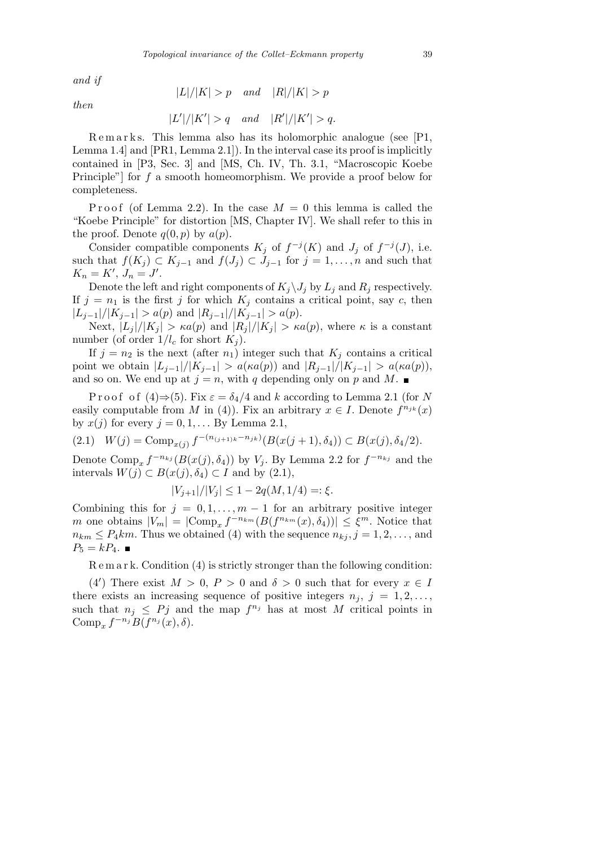*and if*

$$
|L|/|K| > p \quad and \quad |R|/|K| > p
$$

*then*

$$
|V| = |V| = |V|
$$

$$
|L'|/|K'| > q \quad and \quad |R'|/|K'| > q.
$$

Remarks. This lemma also has its holomorphic analogue (see [P1, Lemma 1.4] and [PR1, Lemma 2.1]). In the interval case its proof is implicitly contained in [P3, Sec. 3] and [MS, Ch. IV, Th. 3.1, "Macroscopic Koebe Principle"] for *f* a smooth homeomorphism. We provide a proof below for completeness.

Proof (of Lemma 2.2). In the case  $M = 0$  this lemma is called the "Koebe Principle" for distortion [MS, Chapter IV]. We shall refer to this in the proof. Denote  $q(0, p)$  by  $a(p)$ .

Consider compatible components  $K_j$  of  $f^{-j}(K)$  and  $J_j$  of  $f^{-j}(J)$ , i.e. such that  $f(K_j) \subset K_{j-1}$  and  $f(J_j) \subset J_{j-1}$  for  $j = 1, \ldots, n$  and such that  $K_n = K', J_n = J'.$ 

Denote the left and right components of  $K_j \setminus J_j$  by  $L_j$  and  $R_j$  respectively. If  $j = n_1$  is the first *j* for which  $K_j$  contains a critical point, say *c*, then  $|L_{i-1}|/|K_{i-1}| > a(p)$  and  $|R_{i-1}|/|K_{i-1}| > a(p)$ .

Next,  $|L_j|/|K_j| > \kappa a(p)$  and  $|R_j|/|K_j| > \kappa a(p)$ , where  $\kappa$  is a constant number (of order  $1/l_c$  for short  $K_i$ ).

If  $j = n_2$  is the next (after  $n_1$ ) integer such that  $K_j$  contains a critical point we obtain  $|L_{j-1}|/|K_{j-1}| > a(\kappa a(p))$  and  $|R_{j-1}|/|K_{j-1}| > a(\kappa a(p)),$ and so on. We end up at  $j = n$ , with *q* depending only on *p* and *M*.

P r o o f o f  $(4) \Rightarrow (5)$ . Fix  $\varepsilon = \delta_4/4$  and k according to Lemma 2.1 (for N easily computable from *M* in (4)). Fix an arbitrary  $x \in I$ . Denote  $f^{n_{jk}}(x)$ by  $x(j)$  for every  $j = 0, 1, \ldots$  By Lemma 2.1,

(2.1)  $W(j) = \text{Comp}_{x(j)} f^{-(n_{(j+1)k} - n_{jk})} (B(x(j+1), \delta_4)) \subset B(x(j), \delta_4/2).$ 

Denote Comp<sub>*x*</sub>  $f^{-n_{kj}}(B(x(j), \delta_4))$  by  $V_j$ . By Lemma 2.2 for  $f^{-n_{kj}}$  and the intervals *W*(*j*) ⊂ *B*(*x*(*j*)*,*  $\delta$ <sub>4</sub>) ⊂ *I* and by (2.1),

$$
|V_{j+1}|/|V_j| \le 1 - 2q(M, 1/4) =: \xi.
$$

Combining this for  $j = 0, 1, \ldots, m-1$  for an arbitrary positive integer *m* one obtains  $|V_m| = |\text{Comp}_x f^{-n_{km}}(B(f^{n_{km}}(x), \delta_4))| \leq \xi^m$ . Notice that  $n_{km} \leq P_4 km$ . Thus we obtained (4) with the sequence  $n_{ki}$ ,  $j = 1, 2, \ldots$ , and  $P_5 = kP_4$ . ■

R e m a r k. Condition (4) is strictly stronger than the following condition:

(4<sup>*'*</sup>) There exist  $M > 0$ ,  $P > 0$  and  $\delta > 0$  such that for every  $x \in I$ there exists an increasing sequence of positive integers  $n_j$ ,  $j = 1, 2, \ldots$ , such that  $n_j \leq P_j$  and the map  $f^{n_j}$  has at most M critical points in  $\text{Comp}_x f^{-n_j} B(f^{n_j}(x), \delta).$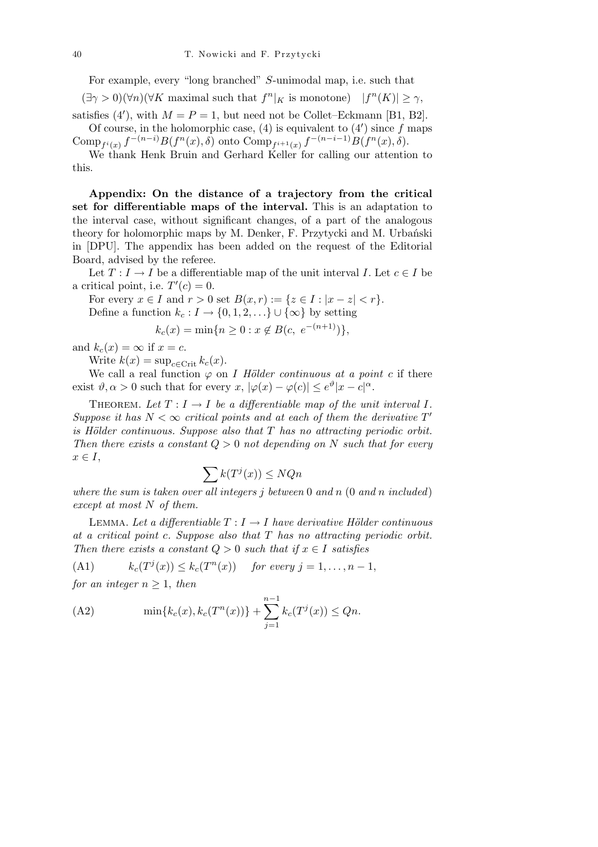For example, every "long branched" *S*-unimodal map, i.e. such that  $(\exists \gamma > 0)(\forall n)(\forall K \text{ maximal such that } f^n|_K \text{ is monotone}) \quad |f^n(K)| \geq \gamma,$ 

satisfies (4'), with  $M = P = 1$ , but need not be Collet–Eckmann [B1, B2]. Of course, in the holomorphic case,  $(4)$  is equivalent to  $(4')$  since f maps Comp<sub>f<sup>i</sup>(x)</sub>  $f^{-(n-i)}B(f^n(x),\delta)$  onto Comp<sub>f<sup>i+1</sup>(x)</sub>  $f^{-(n-i-1)}B(f^n(x),\delta)$ .

We thank Henk Bruin and Gerhard Keller for calling our attention to this.

**Appendix: On the distance of a trajectory from the critical set for differentiable maps of the interval.** This is an adaptation to the interval case, without significant changes, of a part of the analogous theory for holomorphic maps by M. Denker, F. Przytycki and M. Urbański in [DPU]. The appendix has been added on the request of the Editorial Board, advised by the referee.

Let  $T: I \to I$  be a differentiable map of the unit interval *I*. Let  $c \in I$  be a critical point, i.e.  $T'(c) = 0$ .

For every  $x \in I$  and  $r > 0$  set  $B(x, r) := \{z \in I : |x - z| < r\}.$ Define a function  $k_c : I \to \{0, 1, 2, \ldots\} \cup \{\infty\}$  by setting

$$
k_c(x) = \min\{n \ge 0 : x \notin B(c, e^{-(n+1)})\},\
$$

and  $k_c(x) = \infty$  if  $x = c$ .

Write  $k(x) = \sup_{c \in \text{Crit}} k_c(x)$ .

We call a real function  $\varphi$  on *I Hölder continuous at a point c* if there exist  $\vartheta, \alpha > 0$  such that for every  $x, |\varphi(x) - \varphi(c)| \leq e^{\vartheta} |x - c|^{\alpha}$ .

THEOREM. Let  $T: I \to I$  be a differentiable map of the unit interval I. *Suppose it has*  $N < \infty$  *critical points and at each of them the derivative*  $T'$ *is H¨older continuous. Suppose also that T has no attracting periodic orbit. Then there exists a constant*  $Q > 0$  *not depending on*  $N$  *such that for every*  $x \in I$ ,  $\sum k(T - T)$ 

$$
\sum k(T^j(x)) \le NQn
$$

*where the sum is taken over all integers j between* 0 *and n* (0 *and n included*) *except at most N of them.*

LEMMA. Let a differentiable  $T: I \rightarrow I$  have derivative Hölder continuous *at a critical point c. Suppose also that T has no attracting periodic orbit. Then there exists a constant*  $Q > 0$  *such that if*  $x \in I$  *satisfies* 

(A1) 
$$
k_c(T^j(x)) \leq k_c(T^n(x)) \quad \text{for every } j = 1, \ldots, n-1,
$$

*for an integer*  $n \geq 1$ *, then* 

(A2) 
$$
\min\{k_c(x), k_c(T^n(x))\} + \sum_{j=1}^{n-1} k_c(T^j(x)) \le Qn.
$$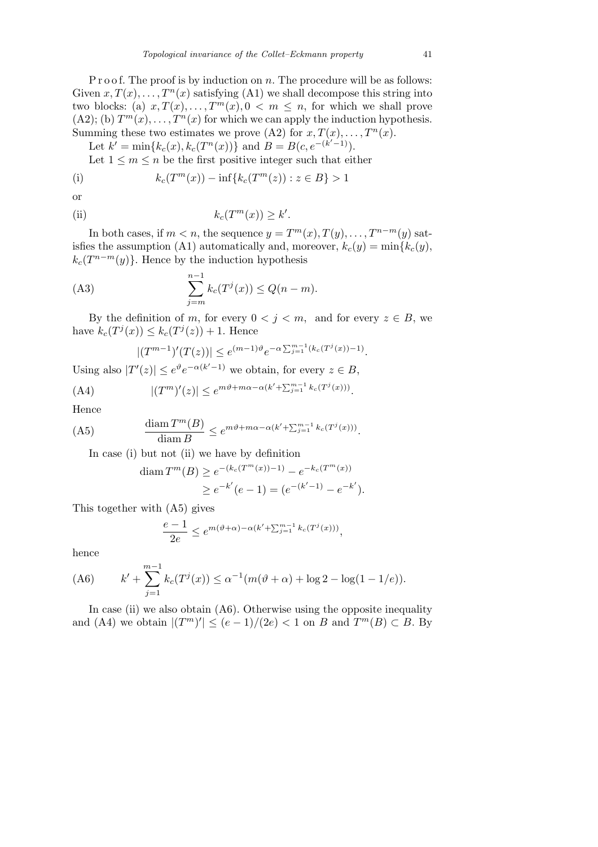P r o o f. The proof is by induction on *n*. The procedure will be as follows: Given  $x, T(x), \ldots, T^n(x)$  satisfying (A1) we shall decompose this string into two blocks: (a)  $x, T(x), \ldots, T^m(x), 0 \leq m \leq n$ , for which we shall prove  $(A2)$ ; (b)  $T^m(x), \ldots, T^n(x)$  for which we can apply the induction hypothesis. Summing these two estimates we prove (A2) for  $x, T(x), \ldots, T^n(x)$ .

Let  $k' = \min\{k_c(x), k_c(T^n(x))\}$  and  $B = B(c, e^{-(k'-1)})$ .

Let  $1 \leq m \leq n$  be the first positive integer such that either

(i) 
$$
k_c(T^m(x)) - \inf\{k_c(T^m(z)) : z \in B\} > 1
$$

or

(ii) 
$$
k_c(T^m(x)) \ge k'.
$$

In both cases, if  $m < n$ , the sequence  $y = T^m(x), T(y), \ldots, T^{n-m}(y)$  satisfies the assumption (A1) automatically and, moreover,  $k_c(y) = \min\{k_c(y),\}$  $k_c(T^{n-m}(y))$ . Hence by the induction hypothesis

(A3) 
$$
\sum_{j=m}^{n-1} k_c(T^j(x)) \le Q(n-m).
$$

By the definition of *m*, for every  $0 \leq j \leq m$ , and for every  $z \in B$ , we have  $k_c(T^j(x)) \leq k_c(T^j(z)) + 1$ . Hence

$$
|(T^{m-1})'(T(z))| \le e^{(m-1)\vartheta}e^{-\alpha \sum_{j=1}^{m-1}(k_c(T^j(x))-1)}.
$$

Using also  $|T'(z)| \leq e^{\vartheta} e^{-\alpha(k'-1)}$  we obtain, for every  $z \in B$ ,

(A4) 
$$
|(T^m)'(z)| \le e^{m\vartheta + m\alpha - \alpha(k' + \sum_{j=1}^{m-1} k_c(T^j(x)))}.
$$

Hence

(A5) 
$$
\frac{\text{diam } T^m(B)}{\text{diam } B} \leq e^{m\vartheta + m\alpha - \alpha(k' + \sum_{j=1}^{m-1} k_c(T^j(x)))}.
$$

In case (i) but not (ii) we have by definition

$$
\begin{aligned} \operatorname{diam} T^m(B) &\ge e^{-(k_c(T^m(x))-1)} - e^{-k_c(T^m(x))} \\ &\ge e^{-k'}(e-1) = (e^{-(k'-1)} - e^{-k'}). \end{aligned}
$$

This together with (A5) gives

$$
\frac{e-1}{2e} \le e^{m(\vartheta + \alpha) - \alpha (k' + \sum_{j=1}^{m-1} k_c(T^j(x)))},
$$

hence

(A6) 
$$
k' + \sum_{j=1}^{m-1} k_c(T^j(x)) \le \alpha^{-1} (m(\vartheta + \alpha) + \log 2 - \log(1 - 1/e)).
$$

In case (ii) we also obtain  $(A6)$ . Otherwise using the opposite inequality and  $(A4)$  we obtain  $|(T^m)'| \leq (e-1)/(2e) < 1$  on *B* and  $T^m(B) \subset B$ . By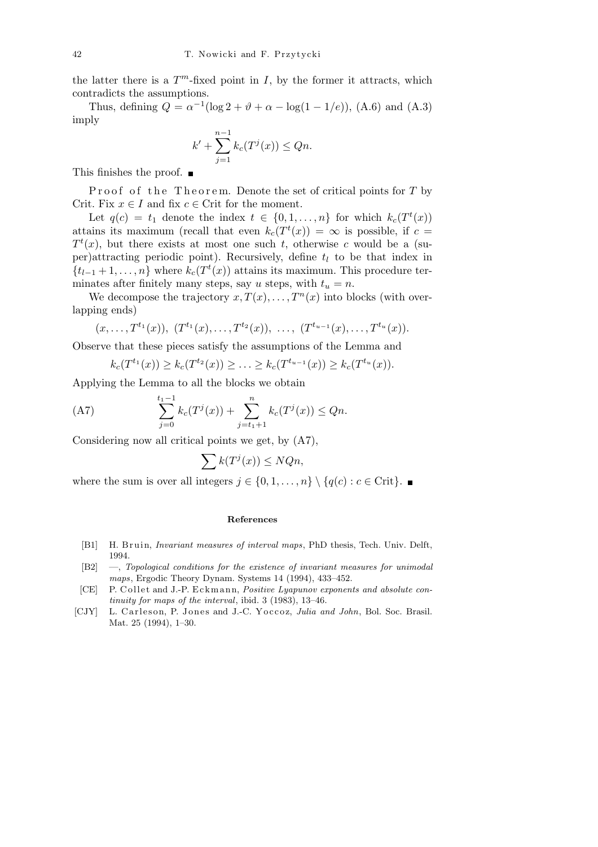the latter there is a  $T^m$ -fixed point in *I*, by the former it attracts, which contradicts the assumptions.

Thus, defining  $Q = \alpha^{-1} (\log 2 + \vartheta + \alpha - \log(1 - 1/e)),$  (A.6) and (A.3) imply

$$
k' + \sum_{j=1}^{n-1} k_c(T^{j}(x)) \le Qn.
$$

This finishes the proof. ■

Proof of the Theorem. Denote the set of critical points for T by Crit. Fix  $x \in I$  and fix  $c \in \text{Crit}$  for the moment.

Let  $q(c) = t_1$  denote the index  $t \in \{0, 1, \ldots, n\}$  for which  $k_c(T^t(x))$ attains its maximum (recall that even  $k_c(T^t(x)) = \infty$  is possible, if  $c =$  $T<sup>t</sup>(x)$ , but there exists at most one such *t*, otherwise *c* would be a (super)attracting periodic point). Recursively, define  $t_l$  to be that index in  ${t_{l-1}+1,\ldots,n}$  where  $k_c(T^t(x))$  attains its maximum. This procedure terminates after finitely many steps, say *u* steps, with  $t<sub>u</sub> = n$ .

We decompose the trajectory  $x, T(x), \ldots, T^n(x)$  into blocks (with overlapping ends)

$$
(x, \ldots, T^{t_1}(x)), (T^{t_1}(x), \ldots, T^{t_2}(x)), \ldots, (T^{t_{u-1}}(x), \ldots, T^{t_u}(x)).
$$

Observe that these pieces satisfy the assumptions of the Lemma and

$$
k_c(T^{t_1}(x)) \ge k_c(T^{t_2}(x)) \ge \ldots \ge k_c(T^{t_{u-1}}(x)) \ge k_c(T^{t_u}(x)).
$$

Applying the Lemma to all the blocks we obtain

(A7) 
$$
\sum_{j=0}^{t_1-1} k_c(T^j(x)) + \sum_{j=t_1+1}^n k_c(T^j(x)) \le Qn.
$$

Considering now all critical points we get, by (A7),

$$
\sum k(T^{j}(x)) \leq NQn,
$$

where the sum is over all integers  $j \in \{0, 1, \ldots, n\} \setminus \{q(c) : c \in \text{Crit}\}\.$ 

## **References**

- [B1] H. Bruin, *Invariant measures of interval maps*, PhD thesis, Tech. Univ. Delft, 1994.
- [B2] —, *Topological conditions for the existence of invariant measures for unimodal maps*, Ergodic Theory Dynam. Systems 14 (1994), 433–452.
- [CE] P. Collet and J.-P. Eckmann, *Positive Lyapunov exponents and absolute continuity for maps of the interval*, ibid. 3 (1983), 13–46.
- [CJY] L. Carleson, P. Jones and J.-C. Yoccoz, *Julia and John*, Bol. Soc. Brasil. Mat. 25 (1994), 1–30.